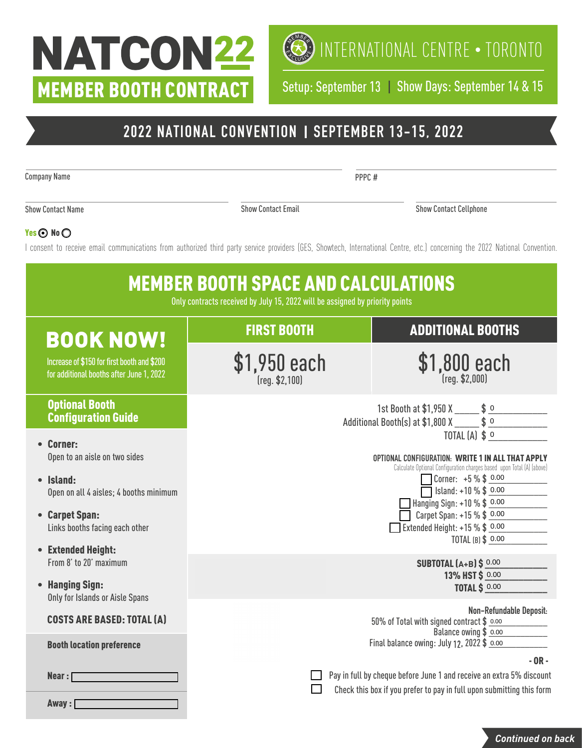# NATCON22 MEMBER BOOTH CONTRACT



 $\left(\bigotimes_{i=1}^{\infty} \mathbb{I}\right)$  international centre  $\cdot$  toronto

Setup: September 13 | Show Days: September 14 & 15

## **2022 NATIONAL CONVENTION SEPTEMBER 13-15, 2022**

Company Name

PPPC #

Show Contact Name

Show Contact Email Show Contact Cellphone

### Yes  $\odot$  No  $\odot$

I consent to receive email communications from authorized third party service providers (GES, Showtech, International Centre, etc.) concerning the 2022 National Convention.



*Continued on back*